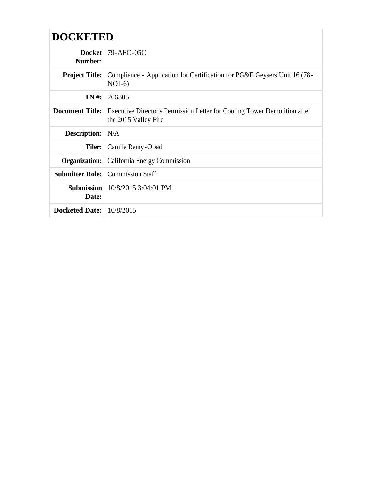| <b>DOCKETED</b>            |                                                                                                                          |
|----------------------------|--------------------------------------------------------------------------------------------------------------------------|
| Number:                    | Docket $79-AFC-05C$                                                                                                      |
| <b>Project Title:</b>      | Compliance - Application for Certification for PG&E Geysers Unit 16 (78-<br>$NOI-6$                                      |
| TN#:                       | 206305                                                                                                                   |
|                            | <b>Document Title:</b> Executive Director's Permission Letter for Cooling Tower Demolition after<br>the 2015 Valley Fire |
| <b>Description:</b> N/A    |                                                                                                                          |
|                            | <b>Filer:</b> Camile Remy-Obad                                                                                           |
|                            | <b>Organization:</b> California Energy Commission                                                                        |
|                            | <b>Submitter Role:</b> Commission Staff                                                                                  |
| Date:                      | <b>Submission</b>   $10/8/2015$ 3:04:01 PM                                                                               |
| Docketed Date: $10/8/2015$ |                                                                                                                          |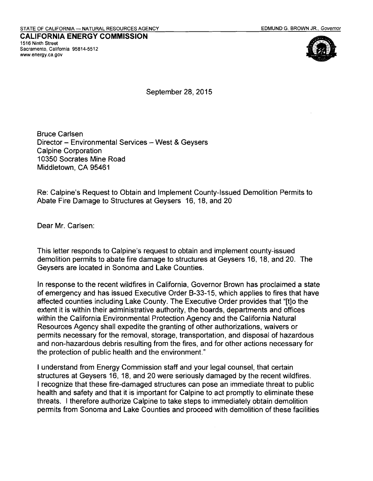**CALIFORNIA ENERGY COMMISSION**  1516 Ninth Street Sacramento, California 95814-5512 www.energy.ca.gov



September 28, 2015

Bruce Carlsen Director - Environmental Services - West & Geysers Calpine Corporation 10350 Socrates Mine Road Middletown, CA 95461

Re: Calpine's Request to Obtain and Implement County-Issued Demolition Permits to Abate Fire Damage to Structures at Geysers 16, 18, and 20

Dear Mr. Carlsen:

This letter responds to Calpine's request to obtain and implement county-issued demolition permits to abate fire damage to structures at Geysers 16, 18, and 20. The Geysers are located in Sonoma and Lake Counties.

In response to the recent wildfires in California, Governor Brown has proclaimed a state of emergency and has issued Executive Order B-33-15, which applies to fires that have affected counties including Lake County. The Executive Order provides that "[t]o the extent it is within their administrative authority, the boards, departments and offices within the California Environmental Protection Agency and the California Natural Resources Agency shall expedite the granting of other authorizations, waivers or permits necessary for the removal, storage, transportation, and disposal of hazardous and non-hazardous debris resulting from the fires, and for other actions necessary for the protection of public health and the environment."

I understand from Energy Commission staff and your legal counsel, that certain structures at Geysers 16, 18, and 20 were seriously damaged by the recent wildfires. I recognize that these fire-damaged structures can pose an immediate threat to public health and safety and that it is important for Calpine to act promptly to eliminate these threats. I therefore authorize Calpine to take steps to immediately obtain demolition permits from Sonoma and Lake Counties and proceed with demolition of these facilities